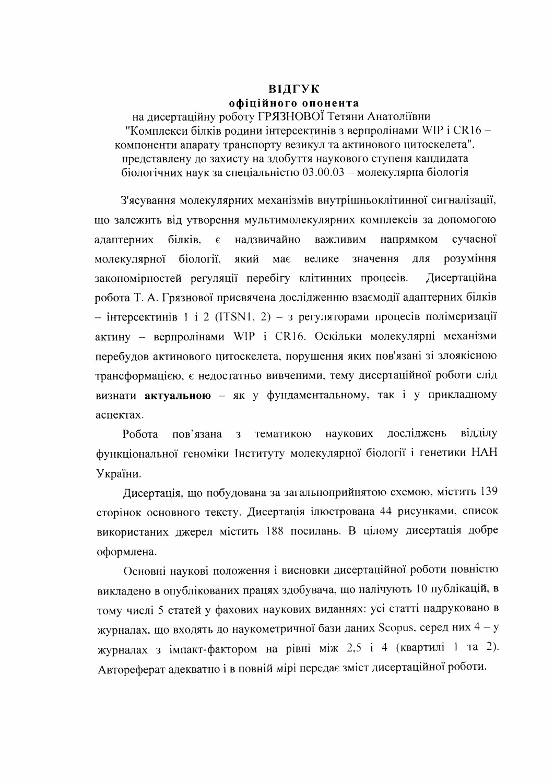## ВІДГУК офіційного опонента

на дисертаційну роботу ГРЯЗНОВОЇ Тетяни Анатоліївни "Комплекси білків родини інтерсектинів з верпролінами WIP і CR16 компоненти апарату транспорту везикул та актинового цитоскелета", представлену до захисту на здобуття наукового ступеня кандидата біологічних наук за спеціальністю 03.00.03 - молекулярна біологія

З'ясування молекулярних механізмів внутрішньоклітинної сигналізації, що залежить від утворення мультимолекулярних комплексів за допомогою сучасної надзвичайно адаптерних білків, важливим напрямком  $\epsilon$ молекулярної біології. який має велике значення лля розуміння закономірностей регуляції перебігу клітинних процесів. Дисертаційна робота Т. А. Грязнової присвячена дослідженню взаємодії адаптерних білків - інтерсектинів 1 і 2 (ITSN1, 2) - з регуляторами процесів полімеризації актину - верпролінами WIP і CR16. Оскільки молекулярні механізми перебудов актинового цитоскелета, порушення яких пов'язані зі злоякісною трансформацією, є недостатньо вивченими, тему дисертаційної роботи слід визнати актуальною - як у фундаментальному, так і у прикладному аспектах.

наукових досліджень відділу Робота пов'язана  $\overline{3}$ тематикою функціональної геноміки Інституту молекулярної біології і генетики НАН України.

Дисертація, що побудована за загальноприйнятою схемою, містить 139 сторінок основного тексту. Дисертація ілюстрована 44 рисунками, список використаних джерел містить 188 посилань. В цілому дисертація добре оформлена.

Основні наукові положення і висновки дисертаційної роботи повністю викладено в опублікованих працях здобувача, що налічують 10 публікацій, в тому числі 5 статей у фахових наукових виданнях: усі статті надруковано в журналах, що входять до наукометричної бази даних Scopus, серед них 4 - у журналах з імпакт-фактором на рівні між 2,5 і 4 (квартилі 1 та 2). Автореферат адекватно і в повній мірі передає зміст дисертаційної роботи.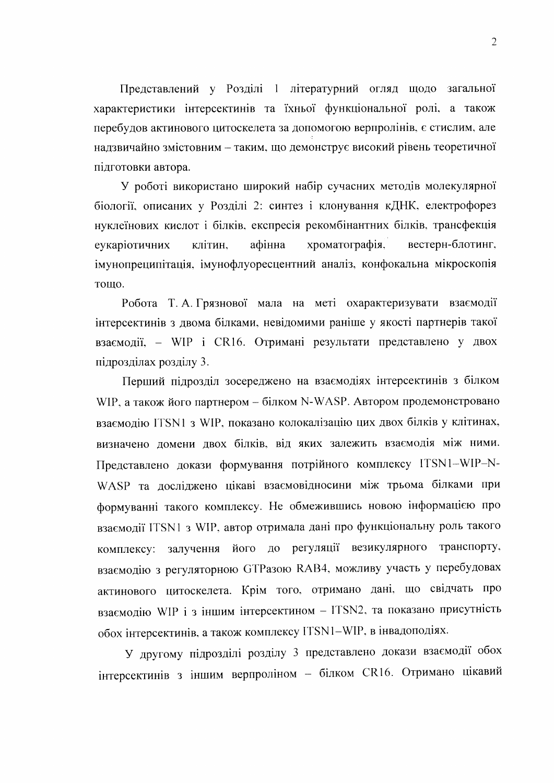Представлений у Розділі 1 літературний огляд щодо загальної характеристики інтерсектинів та їхньої функціональної ролі, а також перебудов актинового цитоскелета за допомогою верпролінів, є стислим, але надзвичайно змістовним - таким, що демонструє високий рівень теоретичної підготовки автора.

У роботі використано широкий набір сучасних методів молекулярної біології, описаних у Розділі 2: синтез і клонування кДНК, електрофорез нуклеїнових кислот і білків, експресія рекомбінантних білків, трансфекція клітин, афінна хроматографія, вестерн-блотинг, еукаріотичних імунопреципітація, імунофлуоресцентний аналіз, конфокальна мікроскопія тошо.

Робота Т. А. Грязнової мала на меті охарактеризувати взаємодії інтерсектинів з двома білками, невідомими раніше у якості партнерів такої взаємодії, - WIP і CR16. Отримані результати представлено у двох підрозділах розділу 3.

Перший підрозділ зосереджено на взаємодіях інтерсектинів з білком WIP, а також його партнером - білком N-WASP. Автором продемонстровано взаємодію ITSN1 з WIP, показано колокалізацію цих двох білків у клітинах, визначено домени двох білків, від яких залежить взаємодія між ними. Представлено докази формування потрійного комплексу ITSN1-WIP-N-WASP та досліджено цікаві взаємовідносини між трьома білками при формуванні такого комплексу. Не обмежившись новою інформацією про взаємодії ITSN1 з WIP, автор отримала дані про функціональну роль такого комплексу: залучення його до регуляції везикулярного транспорту, взаємодію з регуляторною GTPазою RAB4, можливу участь у перебудовах актинового цитоскелета. Крім того, отримано дані, що свідчать про взаємодію WIP і з іншим інтерсектином - ITSN2, та показано присутність обох інтерсектинів, а також комплексу ITSN1-WIP, в інвадоподіях.

У другому підрозділі розділу 3 представлено докази взаємодії обох інтерсектинів з іншим верпроліном - білком CR16. Отримано цікавий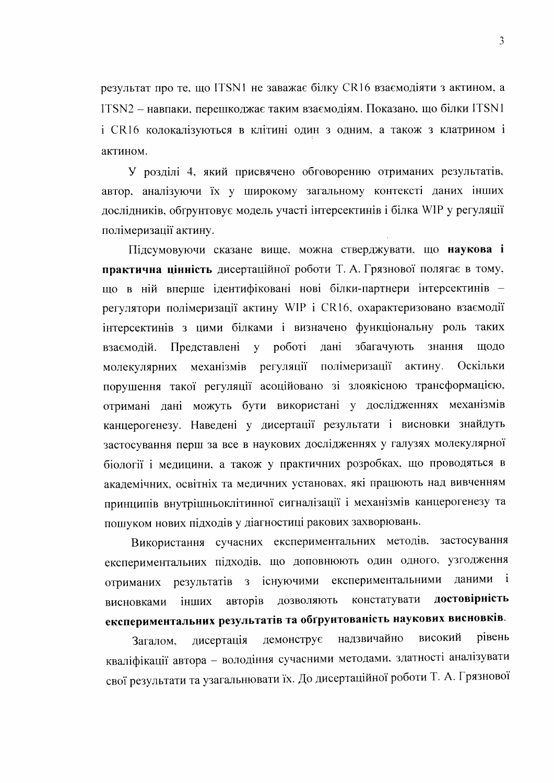результат про те, що ITSN1 не заважає білку CR16 взаємодіяти з актином, а ITSN2 - навпаки, перешкоджає таким взаємодіям. Показано, що білки ITSN1 і CR16 колокалізуються в клітині один з одним, а також з клатрином і актином.

У розділі 4, який присвячено обговоренню отриманих результатів, автор, аналізуючи їх у широкому загальному контексті даних інших дослідників, обґрунтовує модель участі інтерсектинів і білка WIP у регуляції полімеризації актину.

Підсумовуючи сказане вище, можна стверджувати, що наукова і практична цінність дисертаційної роботи Т. А. Грязнової полягає в тому, що в ній вперше ідентифіковані нові білки-партнери інтерсектинів регулятори полімеризації актину WIP і CR16, охарактеризовано взаємодії інтерсектинів з цими білками і визначено функціональну роль таких роботі дані збагачують знання взаємодій. Представлені  $\mathbf{V}$ шодо регуляції полімеризації молекулярних механізмів актину. Оскільки порушення такої регуляції асоційовано зі злоякісною трансформацією, отримані дані можуть бути використані у дослідженнях механізмів канцерогенезу. Наведені у дисертації результати і висновки знайдуть застосування перш за все в наукових дослідженнях у галузях молекулярної біології і медицини, а також у практичних розробках, що проводяться в академічних, освітніх та медичних установах, які працюють над вивченням принципів внутрішньоклітинної сигналізації і механізмів канцерогенезу та пошуком нових підходів у діагностиці ракових захворювань.

Використання сучасних експериментальних методів, застосування експериментальних підходів, що доповнюють один одного, узгодження результатів з існуючими експериментальними даними і отриманих достовірність констатувати дозволяють інших авторів висновками експериментальних результатів та обґрунтованість наукових висновків.

високий рівень демонструє надзвичайно дисертація Загалом. кваліфікації автора - володіння сучасними методами, здатності аналізувати свої результати та узагальнювати їх. До дисертаційної роботи Т. А. Грязнової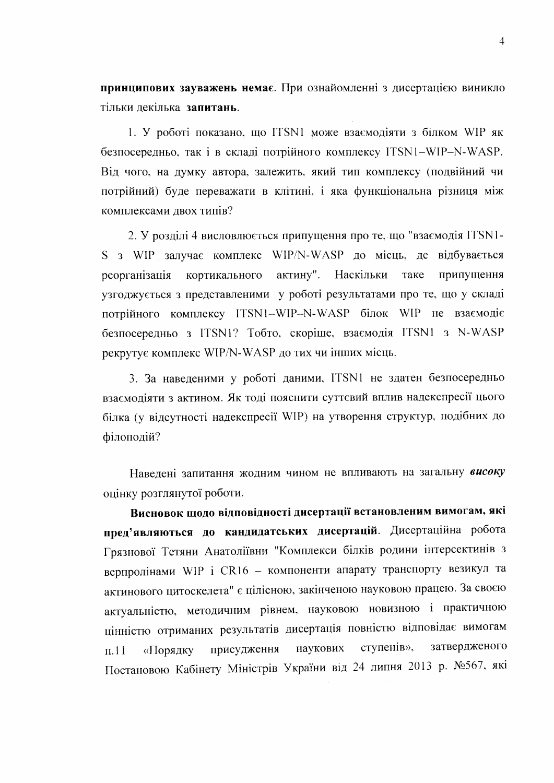принципових зауважень немає. При ознайомленні з дисертацією виникло тільки лекілька запитань.

1. У роботі показано, що ITSN1 може взаємодіяти з білком WIP як безпосередньо, так і в складі потрійного комплексу ITSN1-WIP-N-WASP. Від чого, на думку автора, залежить, який тип комплексу (подвійний чи потрійний) буде переважати в клітині, і яка функціональна різниця між комплексами лвох типів?

2. У розділі 4 висловлюється припущення про те, що "взаємодія ITSN1-S з WIP залучає комплекс WIP/N-WASP до місць, де відбувається реорганізація кортикального актину". Наскільки таке припущення узгоджується з представленими у роботі результатами про те, що у складі потрійного комплексу ITSN1-WIP-N-WASP білок WIP не взаємодіє безпосередньо з ITSN1? Тобто, скоріше, взаємодія ITSN1 з N-WASP рекрутує комплекс WIP/N-WASP до тих чи інших місць.

3. За наведеними у роботі даними, ITSN1 не здатен безпосередньо взаємодіяти з актином. Як тоді пояснити суттєвий вплив надекспресії цього білка (у відсутності надекспресії WIP) на утворення структур, подібних до філоподій?

Наведені запитання жодним чином не впливають на загальну високу оцінку розглянутої роботи.

Висновок щодо відповідності дисертації встановленим вимогам, які пред'являються до кандидатських дисертацій. Дисертаційна робота Грязнової Тетяни Анатоліївни "Комплекси білків родини інтерсектинів з верпролінами WIP і CR16 - компоненти апарату транспорту везикул та актинового цитоскелета" є цілісною, закінченою науковою працею. За своєю актуальністю, методичним рівнем, науковою новизною і практичною цінністю отриманих результатів дисертація повністю відповідає вимогам затвердженого ступенів», наукових присудження  $\pi$ .11 «Порядку Постановою Кабінету Міністрів України від 24 липня 2013 р. №567, які